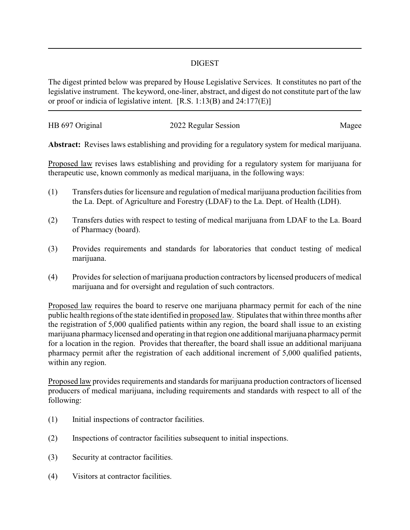## DIGEST

The digest printed below was prepared by House Legislative Services. It constitutes no part of the legislative instrument. The keyword, one-liner, abstract, and digest do not constitute part of the law or proof or indicia of legislative intent. [R.S. 1:13(B) and 24:177(E)]

| HB 697 Original | 2022 Regular Session | Magee |
|-----------------|----------------------|-------|
|                 |                      |       |

**Abstract:** Revises laws establishing and providing for a regulatory system for medical marijuana.

Proposed law revises laws establishing and providing for a regulatory system for marijuana for therapeutic use, known commonly as medical marijuana, in the following ways:

- (1) Transfers duties for licensure and regulation of medical marijuana production facilities from the La. Dept. of Agriculture and Forestry (LDAF) to the La. Dept. of Health (LDH).
- (2) Transfers duties with respect to testing of medical marijuana from LDAF to the La. Board of Pharmacy (board).
- (3) Provides requirements and standards for laboratories that conduct testing of medical marijuana.
- (4) Provides for selection of marijuana production contractors by licensed producers of medical marijuana and for oversight and regulation of such contractors.

Proposed law requires the board to reserve one marijuana pharmacy permit for each of the nine public health regions of the state identified in proposed law. Stipulates that within three months after the registration of 5,000 qualified patients within any region, the board shall issue to an existing marijuana pharmacylicensed and operating in that region one additional marijuana pharmacypermit for a location in the region. Provides that thereafter, the board shall issue an additional marijuana pharmacy permit after the registration of each additional increment of 5,000 qualified patients, within any region.

Proposed law provides requirements and standards for marijuana production contractors of licensed producers of medical marijuana, including requirements and standards with respect to all of the following:

- (1) Initial inspections of contractor facilities.
- (2) Inspections of contractor facilities subsequent to initial inspections.
- (3) Security at contractor facilities.
- (4) Visitors at contractor facilities.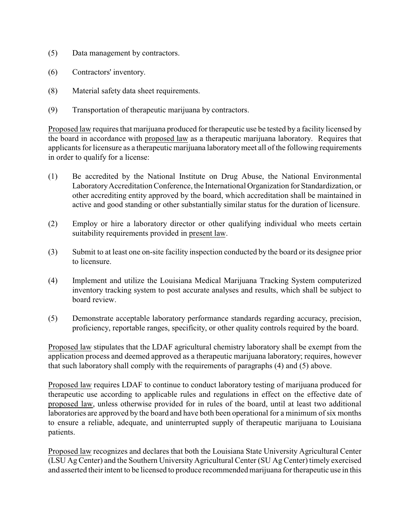- (5) Data management by contractors.
- (6) Contractors' inventory.
- (8) Material safety data sheet requirements.
- (9) Transportation of therapeutic marijuana by contractors.

Proposed law requires that marijuana produced for therapeutic use be tested by a facility licensed by the board in accordance with proposed law as a therapeutic marijuana laboratory. Requires that applicants for licensure as a therapeutic marijuana laboratorymeet all of the following requirements in order to qualify for a license:

- (1) Be accredited by the National Institute on Drug Abuse, the National Environmental LaboratoryAccreditation Conference, the International Organization for Standardization, or other accrediting entity approved by the board, which accreditation shall be maintained in active and good standing or other substantially similar status for the duration of licensure.
- (2) Employ or hire a laboratory director or other qualifying individual who meets certain suitability requirements provided in present law.
- (3) Submit to at least one on-site facility inspection conducted by the board or its designee prior to licensure.
- (4) Implement and utilize the Louisiana Medical Marijuana Tracking System computerized inventory tracking system to post accurate analyses and results, which shall be subject to board review.
- (5) Demonstrate acceptable laboratory performance standards regarding accuracy, precision, proficiency, reportable ranges, specificity, or other quality controls required by the board.

Proposed law stipulates that the LDAF agricultural chemistry laboratory shall be exempt from the application process and deemed approved as a therapeutic marijuana laboratory; requires, however that such laboratory shall comply with the requirements of paragraphs (4) and (5) above.

Proposed law requires LDAF to continue to conduct laboratory testing of marijuana produced for therapeutic use according to applicable rules and regulations in effect on the effective date of proposed law, unless otherwise provided for in rules of the board, until at least two additional laboratories are approved by the board and have both been operational for a minimum of six months to ensure a reliable, adequate, and uninterrupted supply of therapeutic marijuana to Louisiana patients.

Proposed law recognizes and declares that both the Louisiana State University Agricultural Center (LSU Ag Center) and the Southern University Agricultural Center (SU Ag Center) timely exercised and asserted their intent to be licensed to produce recommended marijuana for therapeutic use in this